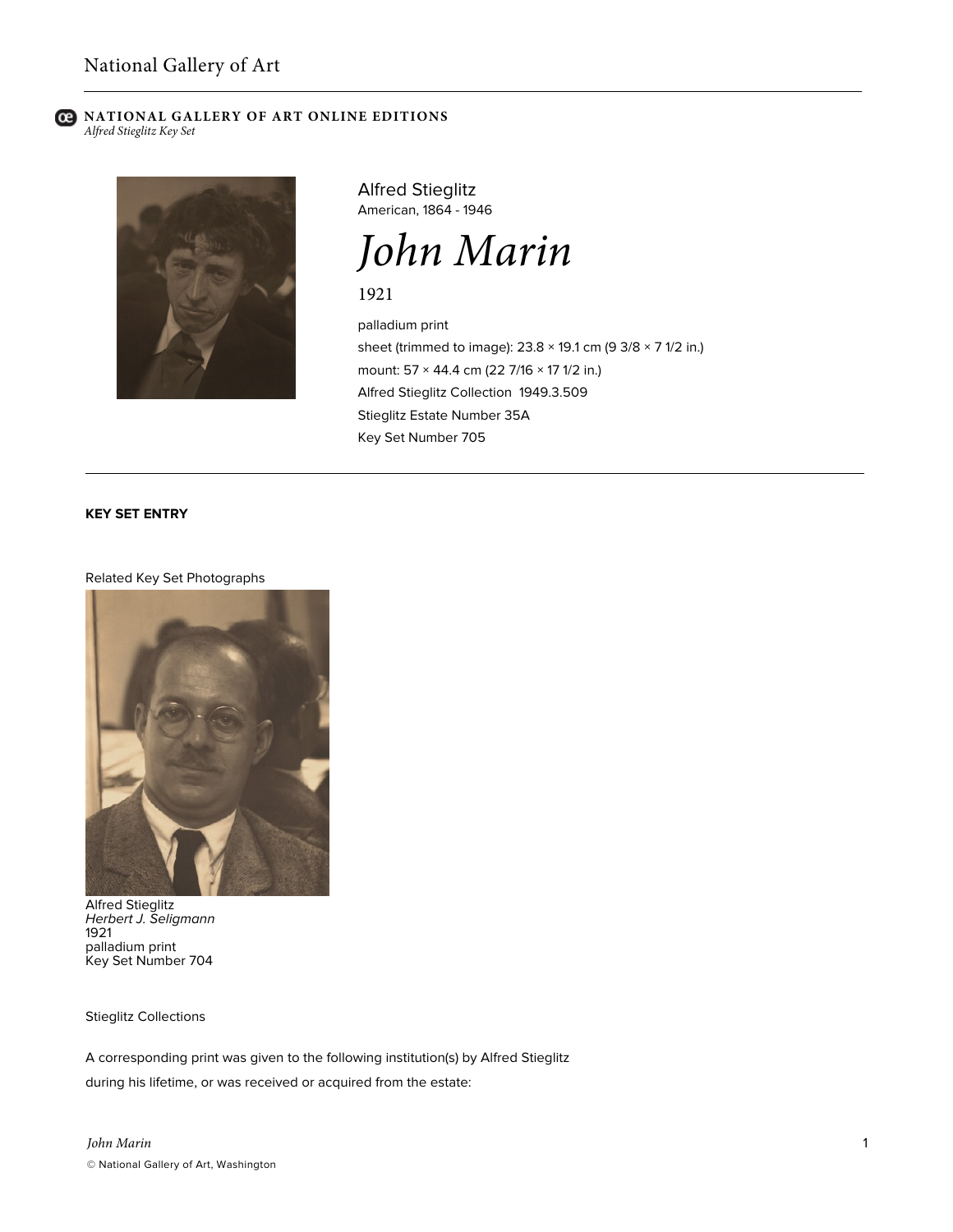#### **C** NATIONAL GALLERY OF ART ONLINE EDITIONS *Alfred Stieglitz Key Set*



Alfred Stieglitz American, 1864 - 1946

*John Marin*

1921

palladium print sheet (trimmed to image): 23.8 × 19.1 cm (9 3/8 × 7 1/2 in.) mount: 57 × 44.4 cm (22 7/16 × 17 1/2 in.) Alfred Stieglitz Collection 1949.3.509 Stieglitz Estate Number 35A Key Set Number 705

## **KEY SET ENTRY**

#### Related Key Set Photographs



Alfred Stieglitz *Herbert J. Seligmann* 1921 palladium print Key Set Number 704

Stieglitz Collections

A corresponding print was given to the following institution(s) by Alfred Stieglitz during his lifetime, or was received or acquired from the estate: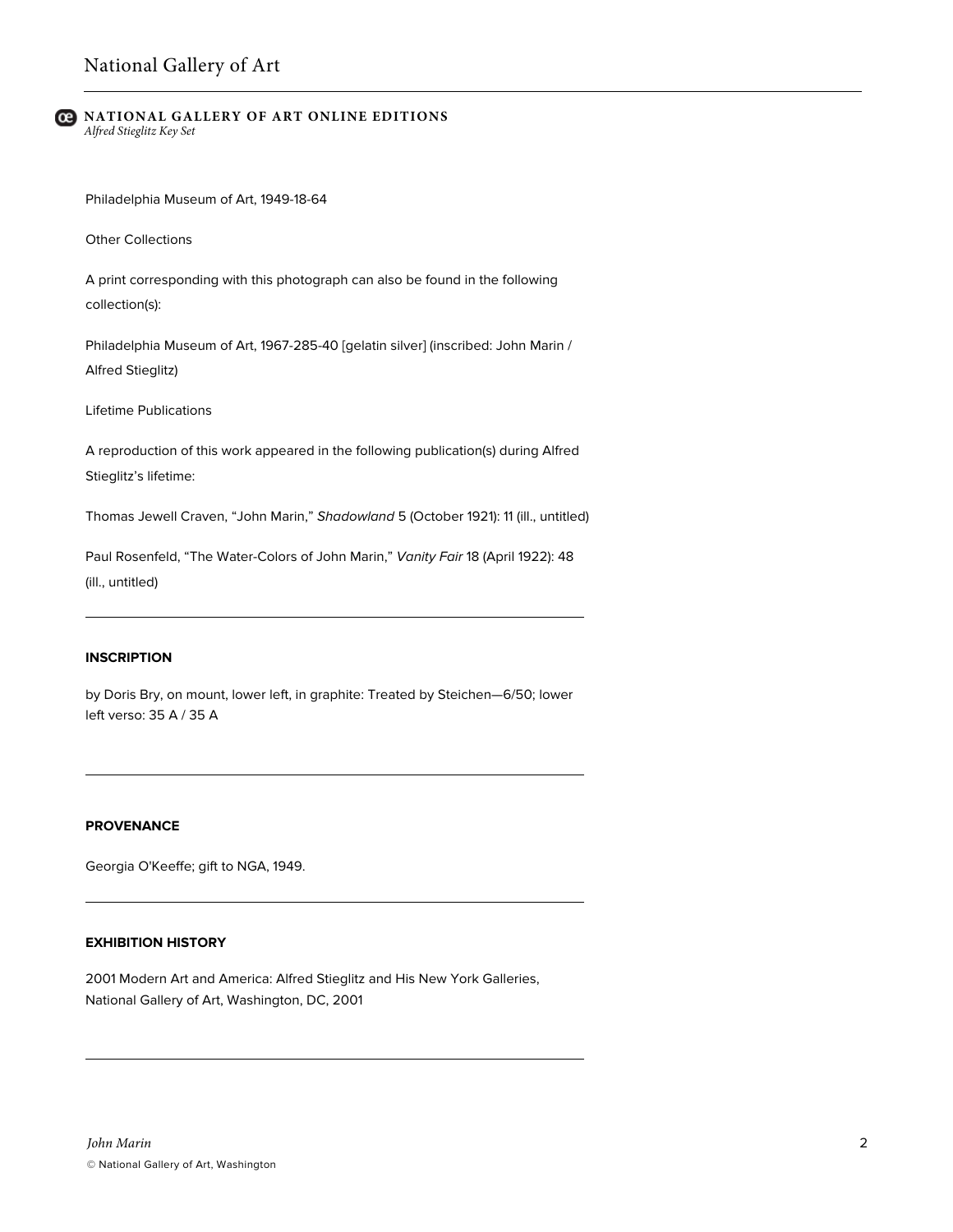|  | <b>CE NATIONAL GALLERY OF ART ONLINE EDITIONS</b> |  |  |
|--|---------------------------------------------------|--|--|
|  | Alfred Stieglitz Key Set                          |  |  |

Philadelphia Museum of Art, 1949-18-64

Other Collections

A print corresponding with this photograph can also be found in the following collection(s):

Philadelphia Museum of Art, 1967-285-40 [gelatin silver] (inscribed: John Marin / Alfred Stieglitz)

Lifetime Publications

A reproduction of this work appeared in the following publication(s) during Alfred Stieglitz's lifetime:

Thomas Jewell Craven, "John Marin," *Shadowland* 5 (October 1921): 11 (ill., untitled)

Paul Rosenfeld, "The Water-Colors of John Marin," *Vanity Fair* 18 (April 1922): 48 (ill., untitled)

### **INSCRIPTION**

by Doris Bry, on mount, lower left, in graphite: Treated by Steichen—6/50; lower left verso: 35 A / 35 A

### **PROVENANCE**

Georgia O'Keeffe; gift to NGA, 1949.

# **EXHIBITION HISTORY**

2001 Modern Art and America: Alfred Stieglitz and His New York Galleries, National Gallery of Art, Washington, DC, 2001